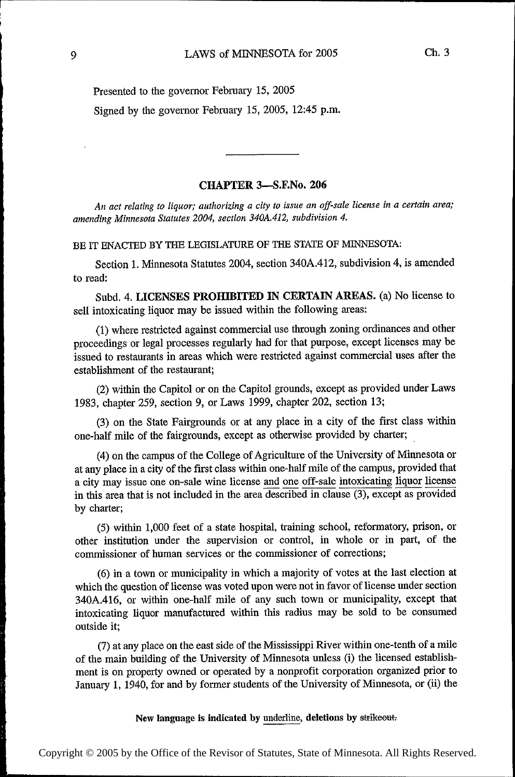Presented to the governor February 15, 2005 Signed by the governor February 15, 2005, 12:45 p.m.

## CHAPTER 3——S.F.No. 206

An act relating to liquor; authorizing a city to issue an off-sale license in a certain area; amending Minnesota Statutes 2004, section 340A.412, subdivision 4.

BE IT ENACTED BY THE LEGISLATURE OF THE STATE OF MINNESOTA:

Section 1. Minnesota Statutes 2004, section 340A.412, subdivision 4, is amended to read:

Subd. 4. LICENSES PROHIBITED IN CERTAIN AREAS. (a) No license to sell intoxicating liquor may be issued within the following areas:

(1) where restiicted against commercial use through zoning ordinances and other proceedings or legal processes regularly had for that purpose, except licenses may be issued to restaurants in areas which were restricted against commercial uses after the establishment of the restaurant;

(2) within the Capitol or on the Capitol grounds, except as provided under Laws 1983, chapter 259, section 9, or Laws 1999, chapter 202, section 13;

(3) on the State Fairgrounds or at any place in a city of the first class within one~half mile of the fairgrounds, except as otherwise provided by charter;

(4) on the campus of the College of Agriculture of the University of Minnesota or at any place in a city of the first class within one-half mile of the campus, provided that a city may issue one on—sa1e wine license and one off—sale intoxicating liquor license in this area that is not included in the area described in clause  $(3)$ , except as provided by charter;

(5) within 1,000 feet of a state hospital, training school, reforrnatory, prison, or other institution under the supervision or control, in whole or in part, of the commissioner of human services or the commissioner of corrections;

(6) in a town or municipality in which a majority of votes at the last election at which the question of license was voted upon were not in favor of license under section 340A.416, or within one~half mile of any such town or municipality, except that intoxicating liquor manufactured within this radius may be sold to be consumed outside it;

(7) at any place on the east side of the Mississippi River within one-tenth of a mile of the main building of the University of Minnesota unless (i) the licensed establishment is on property owned or operated by a nonprofit corporation organized prior to January 1, 1940, for and by former students of the University of Minnesota, or (ii) the

New language is indicated by underline, deletions by strikeout.